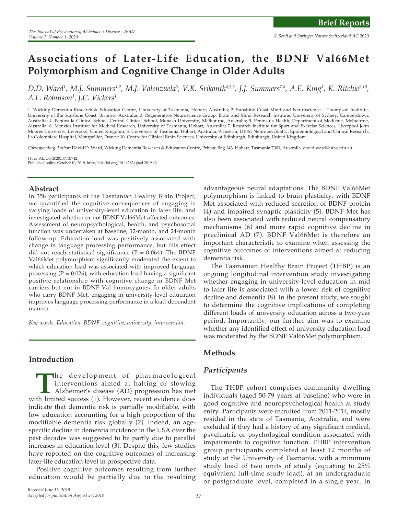# **Associations of Later-Life Education, the BDNF Val66Met Polymorphism and Cognitive Change in Older Adults**

D.D. Ward<sup>1</sup>, M.J. Summers<sup>1,2</sup>, M.J. Valenzuela<sup>3</sup>, V.K. Srikanth<sup>4,5,6</sup>, J.J. Summers<sup>7,8</sup>, A.E. King<sup>1</sup>, K. Ritchie<sup>9,10</sup>, *A.L. Robinson1 , J.C. Vickers1*

1. Wicking Dementia Research & Education Centre, University of Tasmania, Hobart, Australia; 2. Sunshine Coast Mind and Neuroscience – Thompson Institute, University of the Sunshine Coast, Birtinya, Australia; 3. Regenerative Neuroscience Group, Brain and Mind Research Institute, University of Sydney, Camperdown, Australia; 4. Peninsula Clinical School, Central Clinical School, Monash University, Melbourne, Australia; 5. Peninsula Health, Department of Medicine, Melbourne, Australia; 6. Menzies Institute for Medical Research, University of Tasmania, Hobart, Australia; 7. Research Institute for Sport and Exercise Sciences, Liverpool John Moores University, Liverpool, United Kingdom; 8. University of Tasmania, Hobart, Australia; 9. Inserm, U1061 Neuropsychiatry: Epidemiological and Clinical Research, La Colombiere Hospital, Montpellier, France; 10. Centre for Clinical Brain Sciences, University of Edinburgh, Edinburgh, United Kingdom

*Corresponding Author:* David D. Ward, Wicking Dementia Research & Education Centre, Private Bag 143, Hobart, Tasmania 7001, Australia. david.ward@utas.edu.au

J Prev Alz Dis 2020;1(7):37-42 Published online October 10, 2019, http://dx.doi.org/10.14283/jpad.2019.40

#### **Abstract**

In 358 participants of the Tasmanian Healthy Brain Project, we quantified the cognitive consequences of engaging in varying loads of university-level education in later life, and investigated whether or not BDNF Val66Met affected outcomes. Assessment of neuropsychological, health, and psychosocial function was undertaken at baseline, 12-month, and 24-month follow-up. Education load was positively associated with change in language processing performance, but this effect did not reach statistical significance ( $P = 0.064$ ). The BDNF Val66Met polymorphism significantly moderated the extent to which education load was associated with improved language processing ( $P = 0.026$ ), with education load having a significant positive relationship with cognitive change in BDNF Met carriers but not in BDNF Val homozygotes. In older adults who carry BDNF Met, engaging in university-level education improves language processing performance in a load-dependent manner.

*Key words: Education, BDNF, cognitive, university, intervention*.

# **Introduction**

The development of pharmacological<br>interventions aimed at halting or slowing<br>Alzheimer's disease (AD) progression has met<br>th limited success (1). However, recent evidence does interventions aimed at halting or slowing Alzheimer's disease (AD) progression has met with limited success (1). However, recent evidence does indicate that dementia risk is partially modifiable, with low education accounting for a high proportion of the modifiable dementia risk globally (2). Indeed, an agespecific decline in dementia incidence in the USA over the past decades was suggested to be partly due to parallel increases in education level (3). Despite this, few studies have reported on the cognitive outcomes of increasing later-life education level in prospective data.

Positive cognitive outcomes resulting from further education would be partially due to the resulting

advantageous neural adaptations. The BDNF Val66Met polymorphism is linked to brain plasticity, with BDNF Met associated with reduced secretion of BDNF protein (4) and impaired synaptic plasticity (5). BDNF Met has also been associated with reduced neural compensatory mechanisms (6) and more rapid cognitive decline in preclinical AD (7). BDNF Val66Met is therefore an important characteristic to examine when assessing the cognitive outcomes of interventions aimed at reducing dementia risk.

The Tasmanian Healthy Brain Project (THBP) is an ongoing longitudinal intervention study investigating whether engaging in university-level education in mid to later life is associated with a lower risk of cognitive decline and dementia (8). In the present study, we sought to determine the cognitive implications of completing different loads of university education across a two-year period. Importantly, our further aim was to examine whether any identified effect of university education load was moderated by the BDNF Val66Met polymorphism.

# **Methods**

#### *Participants*

The THBP cohort comprises community dwelling individuals (aged 50-79 years at baseline) who were in good cognitive and neuropsychological health at study entry. Participants were recruited from 2011-2014, mostly resided in the state of Tasmania, Australia, and were excluded if they had a history of any significant medical, psychiatric or psychological condition associated with impairments to cognitive function. THBP intervention group participants completed at least 12 months of study at the University of Tasmania, with a minimum study load of two units of study (equating to 25% equivalent full-time study load), at an undergraduate or postgraduate level, completed in a single year. In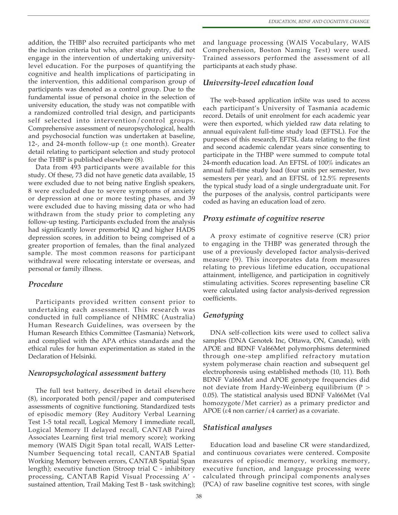addition, the THBP also recruited participants who met the inclusion criteria but who, after study entry, did not engage in the intervention of undertaking universitylevel education. For the purposes of quantifying the cognitive and health implications of participating in the intervention, this additional comparison group of participants was denoted as a control group. Due to the fundamental issue of personal choice in the selection of university education, the study was not compatible with a randomized controlled trial design, and participants self selected into intervention/control groups. Comprehensive assessment of neuropsychological, health and psychosocial function was undertaken at baseline, 12-, and 24-month follow-up ( $\pm$  one month). Greater detail relating to participant selection and study protocol for the THBP is published elsewhere (8).

Data from 493 participants were available for this study. Of these, 73 did not have genetic data available, 15 were excluded due to not being native English speakers, 8 were excluded due to severe symptoms of anxiety or depression at one or more testing phases, and 39 were excluded due to having missing data or who had withdrawn from the study prior to completing any follow-up testing. Participants excluded from the analysis had significantly lower premorbid IQ and higher HADS depression scores, in addition to being comprised of a greater proportion of females, than the final analyzed sample. The most common reasons for participant withdrawal were relocating interstate or overseas, and personal or family illness.

#### *Procedure*

Participants provided written consent prior to undertaking each assessment. This research was conducted in full compliance of NHMRC (Australia) Human Research Guidelines, was overseen by the Human Research Ethics Committee (Tasmania) Network, and complied with the APA ethics standards and the ethical rules for human experimentation as stated in the Declaration of Helsinki.

# *Neuropsychological assessment battery*

The full test battery, described in detail elsewhere (8), incorporated both pencil/paper and computerised assessments of cognitive functioning. Standardized tests of episodic memory (Rey Auditory Verbal Learning Test 1-5 total recall, Logical Memory I immediate recall, Logical Memory II delayed recall, CANTAB Paired Associates Learning first trial memory score); working memory (WAIS Digit Span total recall, WAIS Letter-Number Sequencing total recall, CANTAB Spatial Working Memory between errors, CANTAB Spatial Span length); executive function (Stroop trial C - inhibitory processing, CANTAB Rapid Visual Processing A' sustained attention, Trail Making Test B - task switching);

and language processing (WAIS Vocabulary, WAIS Comprehension, Boston Naming Test) were used. Trained assessors performed the assessment of all participants at each study phase.

# *University-level education load*

The web-based application inSite was used to access each participant's University of Tasmania academic record. Details of unit enrolment for each academic year were then exported, which yielded raw data relating to annual equivalent full-time study load (EFTSL). For the purposes of this research, EFTSL data relating to the first and second academic calendar years since consenting to participate in the THBP were summed to compute total 24-month education load. An EFTSL of 100% indicates an annual full-time study load (four units per semester, two semesters per year), and an EFTSL of 12.5% represents the typical study load of a single undergraduate unit. For the purposes of the analysis, control participants were coded as having an education load of zero.

# *Proxy estimate of cognitive reserve*

A proxy estimate of cognitive reserve (CR) prior to engaging in the THBP was generated through the use of a previously developed factor analysis-derived measure (9). This incorporates data from measures relating to previous lifetime education, occupational attainment, intelligence, and participation in cognitively stimulating activities. Scores representing baseline CR were calculated using factor analysis-derived regression coefficients.

# *Genotyping*

DNA self-collection kits were used to collect saliva samples (DNA Genotek Inc, Ottawa, ON, Canada), with APOE and BDNF Val66Met polymorphisms determined through one-step amplified refractory mutation system polymerase chain reaction and subsequent gel electrophoresis using established methods (10, 11). Both BDNF Val66Met and APOE genotype frequencies did not deviate from Hardy-Weinberg equilibrium (P > 0.05). The statistical analysis used BDNF Val66Met (Val homozygote/Met carrier) as a primary predictor and APOE (ε4 non carrier/ε4 carrier) as a covariate.

# *Statistical analyses*

Education load and baseline CR were standardized, and continuous covariates were centered. Composite measures of episodic memory, working memory, executive function, and language processing were calculated through principal components analyses (PCA) of raw baseline cognitive test scores, with single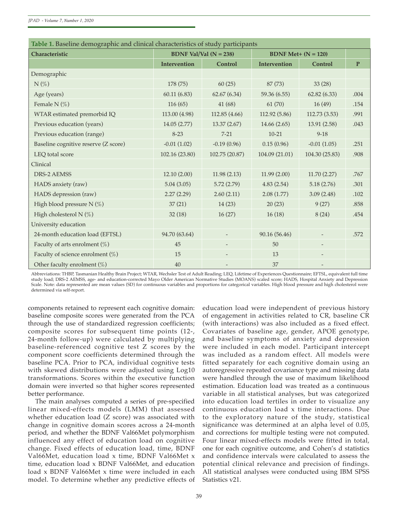| Table 1. Baseline demographic and clinical characteristics of study participants |                               |                          |                                         |                          |              |  |  |  |  |  |
|----------------------------------------------------------------------------------|-------------------------------|--------------------------|-----------------------------------------|--------------------------|--------------|--|--|--|--|--|
| Characteristic                                                                   | <b>BDNF Val/Val (N = 238)</b> |                          | <b>BDNF Met+ (<math>N = 120</math>)</b> |                          |              |  |  |  |  |  |
|                                                                                  | Intervention                  | Control                  | Intervention                            | Control                  | $\mathbf{P}$ |  |  |  |  |  |
| Demographic                                                                      |                               |                          |                                         |                          |              |  |  |  |  |  |
| $N(\%)$                                                                          | 178 (75)                      | 60(25)                   | 87 (73)                                 | 33(28)                   |              |  |  |  |  |  |
| Age (years)                                                                      | 60.11(6.83)                   | 62.67(6.34)              | 59.36 (6.55)                            | 62.82(6.33)              | .004         |  |  |  |  |  |
| Female N $(\%)$                                                                  | 116(65)                       | 41(68)                   | 61(70)                                  | 16(49)                   | .154         |  |  |  |  |  |
| WTAR estimated premorbid IQ                                                      | 113.00 (4.98)                 | 112.85 (4.66)            | 112.92 (5.86)                           | 112.73 (3.53)            | .991         |  |  |  |  |  |
| Previous education (years)                                                       | 14.05(2.77)                   | 13.37 (2.67)             | 14.66(2.65)                             | 13.91(2.58)              | .043         |  |  |  |  |  |
| Previous education (range)                                                       | $8 - 23$                      | $7 - 21$                 | $10 - 21$                               | $9 - 18$                 |              |  |  |  |  |  |
| Baseline cognitive reserve (Z score)                                             | $-0.01(1.02)$                 | $-0.19(0.96)$            | 0.15(0.96)                              | $-0.01(1.05)$            | .251         |  |  |  |  |  |
| LEQ total score                                                                  | 102.16 (23.80)                | 102.75 (20.87)           | 104.09 (21.01)                          | 104.30 (25.83)           | .908         |  |  |  |  |  |
| Clinical                                                                         |                               |                          |                                         |                          |              |  |  |  |  |  |
| DRS-2 AEMSS                                                                      | 12.10(2.00)                   | 11.98(2.13)              | 11.99(2.00)                             | 11.70(2.27)              | .767         |  |  |  |  |  |
| HADS anxiety (raw)                                                               | 5.04(3.05)                    | 5.72(2.79)               | 4.83(2.54)                              | 5.18(2.76)               | .301         |  |  |  |  |  |
| HADS depression (raw)                                                            | 2.27(2.29)                    | 2.60(2.11)               | 2.08(1.77)                              | 3.09(2.48)               | .102         |  |  |  |  |  |
| High blood pressure N $(\%)$                                                     | 37(21)                        | 14(23)                   | 20(23)                                  | 9(27)                    | .858         |  |  |  |  |  |
| High cholesterol N $(\%)$                                                        | 32(18)                        | 16(27)                   | 16(18)                                  | 8(24)                    | .454         |  |  |  |  |  |
| University education                                                             |                               |                          |                                         |                          |              |  |  |  |  |  |
| 24-month education load (EFTSL)                                                  | 94.70 (63.64)                 |                          | 90.16 (56.46)                           |                          | .572         |  |  |  |  |  |
| Faculty of arts enrolment $(\%)$                                                 | 45                            | $\overline{\phantom{a}}$ | 50                                      | $\overline{\phantom{a}}$ |              |  |  |  |  |  |
| Faculty of science enrolment (%)                                                 | 15                            |                          | 13                                      |                          |              |  |  |  |  |  |
| Other faculty enrolment $(\%)$                                                   | 40                            |                          | 37                                      |                          |              |  |  |  |  |  |

| Table 1. Baseline demographic and clinical characteristics of study participants |  |  |  |
|----------------------------------------------------------------------------------|--|--|--|
|                                                                                  |  |  |  |

Abbreviations: THBP, Tasmanian Healthy Brain Project; WTAR, Wechsler Test of Adult Reading; LEQ, Lifetime of Experiences Questionnaire; EFTSL, equivalent full time study load; DRS-2 AEMSS, age- and education-corrected Mayo Older American Normative Studies (MOANS) scaled score; HADS, Hospital Anxiety and Depression Scale. Note: data represented are mean values (SD) for continuous variables and proportions for categorical variables. High blood pressure and high cholesterol were determined via self-report.

components retained to represent each cognitive domain: baseline composite scores were generated from the PCA through the use of standardized regression coefficients; composite scores for subsequent time points (12-, 24-month follow-up) were calculated by multiplying baseline-referenced cognitive test Z scores by the component score coefficients determined through the baseline PCA. Prior to PCA, individual cognitive tests with skewed distributions were adjusted using Log10 transformations. Scores within the executive function domain were inverted so that higher scores represented better performance.

The main analyses computed a series of pre-specified linear mixed-effects models (LMM) that assessed whether education load (Z score) was associated with change in cognitive domain scores across a 24-month period, and whether the BDNF Val66Met polymorphism influenced any effect of education load on cognitive change. Fixed effects of education load, time, BDNF Val66Met, education load x time, BDNF Val66Met x time, education load x BDNF Val66Met, and education load x BDNF Val66Met x time were included in each model. To determine whether any predictive effects of education load were independent of previous history of engagement in activities related to CR, baseline CR (with interactions) was also included as a fixed effect. Covariates of baseline age, gender, APOE genotype, and baseline symptoms of anxiety and depression were included in each model. Participant intercept was included as a random effect. All models were fitted separately for each cognitive domain using an autoregressive repeated covariance type and missing data were handled through the use of maximum likelihood estimation. Education load was treated as a continuous variable in all statistical analyses, but was categorized into education load tertiles in order to visualize any continuous education load x time interactions. Due to the exploratory nature of the study, statistical significance was determined at an alpha level of 0.05, and corrections for multiple testing were not computed. Four linear mixed-effects models were fitted in total, one for each cognitive outcome, and Cohen's d statistics and confidence intervals were calculated to assess the potential clinical relevance and precision of findings. All statistical analyses were conducted using IBM SPSS Statistics v21.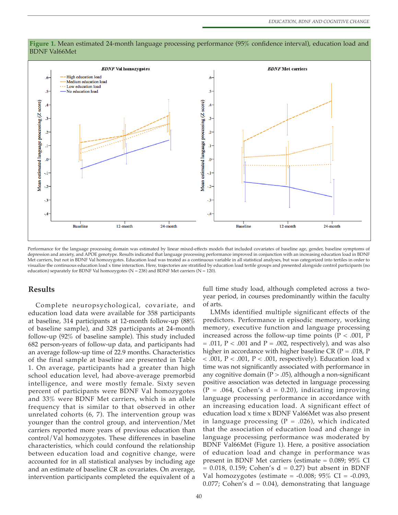

#### **Figure 1.** Mean estimated 24-month language processing performance (95% confidence interval), education load and BDNF Val66Met

Performance for the language processing domain was estimated by linear mixed-effects models that included covariates of baseline age, gender, baseline symptoms of depression and anxiety, and APOE genotype. Results indicated that language processing performance improved in conjunction with an increasing education load in BDNF Met carriers, but not in BDNF Val homozygotes. Education load was treated as a continuous variable in all statistical analyses, but was categorized into tertiles in order to visualize the continuous education load x time interaction. Here, trajectories are stratified by education load tertile groups and presented alongside control participants (no education) separately for BDNF Val homozygotes ( $N = 238$ ) and BDNF Met carriers ( $N = 120$ ).

#### **Results**

Complete neuropsychological, covariate, and education load data were available for 358 participants at baseline, 314 participants at 12-month follow-up (88% of baseline sample), and 328 participants at 24-month follow-up (92% of baseline sample). This study included 682 person-years of follow-up data, and participants had an average follow-up time of 22.9 months. Characteristics of the final sample at baseline are presented in Table 1. On average, participants had a greater than high school education level, had above-average premorbid intelligence, and were mostly female. Sixty seven percent of participants were BDNF Val homozygotes and 33% were BDNF Met carriers, which is an allele frequency that is similar to that observed in other unrelated cohorts (6, 7). The intervention group was younger than the control group, and intervention/Met carriers reported more years of previous education than control/Val homozygotes. These differences in baseline characteristics, which could confound the relationship between education load and cognitive change, were accounted for in all statistical analyses by including age and an estimate of baseline CR as covariates. On average, intervention participants completed the equivalent of a

full time study load, although completed across a twoyear period, in courses predominantly within the faculty of arts.

LMMs identified multiple significant effects of the predictors. Performance in episodic memory, working memory, executive function and language processing increased across the follow-up time points ( $P < .001$ ,  $P$  $= .011$ ,  $P < .001$  and  $P = .002$ , respectively), and was also higher in accordance with higher baseline CR ( $P = .018$ , P  $<$  .001, P  $<$  .001, P  $<$  .001, respectively). Education load x time was not significantly associated with performance in any cognitive domain ( $P > .05$ ), although a non-significant positive association was detected in language processing  $(P = .064, Cohen's d = 0.20)$ , indicating improving language processing performance in accordance with an increasing education load. A significant effect of education load x time x BDNF Val66Met was also present in language processing ( $P = .026$ ), which indicated that the association of education load and change in language processing performance was moderated by BDNF Val66Met (Figure 1). Here, a positive association of education load and change in performance was present in BDNF Met carriers (estimate = 0.089; 95% CI  $= 0.018$ , 0.159; Cohen's d  $= 0.27$ ) but absent in BDNF Val homozygotes (estimate =  $-0.008$ ; 95% CI =  $-0.093$ , 0.077; Cohen's  $d = 0.04$ ), demonstrating that language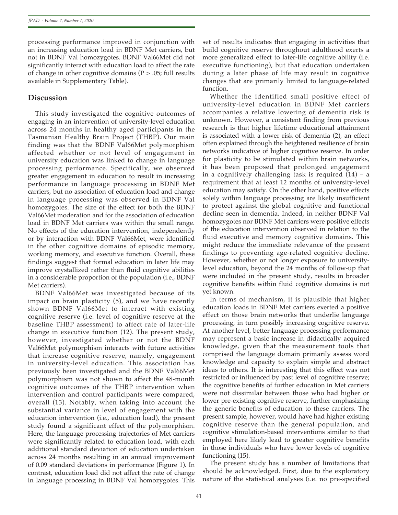processing performance improved in conjunction with an increasing education load in BDNF Met carriers, but not in BDNF Val homozygotes. BDNF Val66Met did not significantly interact with education load to affect the rate of change in other cognitive domains  $(P > .05)$ ; full results available in Supplementary Table).

# **Discussion**

This study investigated the cognitive outcomes of engaging in an intervention of university-level education across 24 months in healthy aged participants in the Tasmanian Healthy Brain Project (THBP). Our main finding was that the BDNF Val66Met polymorphism affected whether or not level of engagement in university education was linked to change in language processing performance. Specifically, we observed greater engagement in education to result in increasing performance in language processing in BDNF Met carriers, but no association of education load and change in language processing was observed in BDNF Val homozygotes. The size of the effect for both the BDNF Val66Met moderation and for the association of education load in BDNF Met carriers was within the small range. No effects of the education intervention, independently or by interaction with BDNF Val66Met, were identified in the other cognitive domains of episodic memory, working memory, and executive function. Overall, these findings suggest that formal education in later life may improve crystallized rather than fluid cognitive abilities in a considerable proportion of the population (i.e., BDNF Met carriers).

BDNF Val66Met was investigated because of its impact on brain plasticity (5), and we have recently shown BDNF Val66Met to interact with existing cognitive reserve (i.e. level of cognitive reserve at the baseline THBP assessment) to affect rate of later-life change in executive function (12). The present study, however, investigated whether or not the BDNF Val66Met polymorphism interacts with future activities that increase cognitive reserve, namely, engagement in university-level education. This association has previously been investigated and the BDNF Val66Met polymorphism was not shown to affect the 48-month cognitive outcomes of the THBP intervention when intervention and control participants were compared, overall (13). Notably, when taking into account the substantial variance in level of engagement with the education intervention (i.e., education load), the present study found a significant effect of the polymorphism. Here, the language processing trajectories of Met carriers were significantly related to education load, with each additional standard deviation of education undertaken across 24 months resulting in an annual improvement of 0.09 standard deviations in performance (Figure 1). In contrast, education load did not affect the rate of change in language processing in BDNF Val homozygotes. This

set of results indicates that engaging in activities that build cognitive reserve throughout adulthood exerts a more generalized effect to later-life cognitive ability (i.e. executive functioning), but that education undertaken during a later phase of life may result in cognitive changes that are primarily limited to language-related function.

Whether the identified small positive effect of university-level education in BDNF Met carriers accompanies a relative lowering of dementia risk is unknown. However, a consistent finding from previous research is that higher lifetime educational attainment is associated with a lower risk of dementia (2), an effect often explained through the heightened resilience of brain networks indicative of higher cognitive reserve. In order for plasticity to be stimulated within brain networks, it has been proposed that prolonged engagement in a cognitively challenging task is required (14) – a requirement that at least 12 months of university-level education may satisfy. On the other hand, positive effects solely within language processing are likely insufficient to protect against the global cognitive and functional decline seen in dementia. Indeed, in neither BDNF Val homozygotes nor BDNF Met carriers were positive effects of the education intervention observed in relation to the fluid executive and memory cognitive domains. This might reduce the immediate relevance of the present findings to preventing age-related cognitive decline. However, whether or not longer exposure to universitylevel education, beyond the 24 months of follow-up that were included in the present study, results in broader cognitive benefits within fluid cognitive domains is not yet known.

In terms of mechanism, it is plausible that higher education loads in BDNF Met carriers exerted a positive effect on those brain networks that underlie language processing, in turn possibly increasing cognitive reserve. At another level, better language processing performance may represent a basic increase in didactically acquired knowledge, given that the measurement tools that comprised the language domain primarily assess word knowledge and capacity to explain simple and abstract ideas to others. It is interesting that this effect was not restricted or influenced by past level of cognitive reserve; the cognitive benefits of further education in Met carriers were not dissimilar between those who had higher or lower pre-existing cognitive reserve, further emphasizing the generic benefits of education to these carriers. The present sample, however, would have had higher existing cognitive reserve than the general population, and cognitive stimulation-based interventions similar to that employed here likely lead to greater cognitive benefits in those individuals who have lower levels of cognitive functioning (15).

The present study has a number of limitations that should be acknowledged. First, due to the exploratory nature of the statistical analyses (i.e. no pre-specified